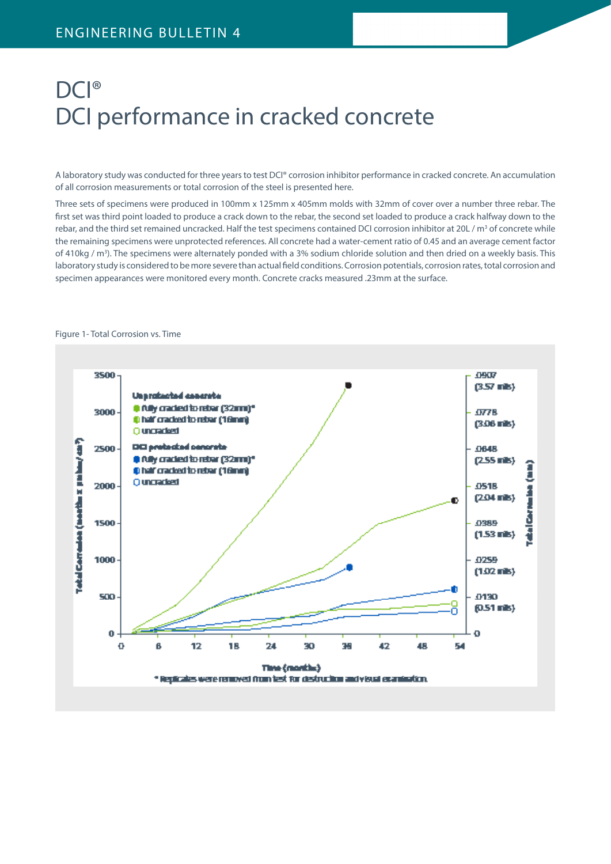# DCI® DCI performance in cracked concrete

A laboratory study was conducted for three years to test DCI® corrosion inhibitor performance in cracked concrete. An accumulation of all corrosion measurements or total corrosion of the steel is presented here.

Three sets of specimens were produced in 100mm x 125mm x 405mm molds with 32mm of cover over a number three rebar. The first set was third point loaded to produce a crack down to the rebar, the second set loaded to produce a crack halfway down to the rebar, and the third set remained uncracked. Half the test specimens contained DCI corrosion inhibitor at 20L / m<sup>3</sup> of concrete while the remaining specimens were unprotected references. All concrete had a water-cement ratio of 0.45 and an average cement factor of 410kg / m<sup>3</sup>). The specimens were alternately ponded with a 3% sodium chloride solution and then dried on a weekly basis. This laboratory study is considered to be more severe than actual field conditions. Corrosion potentials, corrosion rates, total corrosion and specimen appearances were monitored every month. Concrete cracks measured .23mm at the surface.



#### Figure 1- Total Corrosion vs. Time